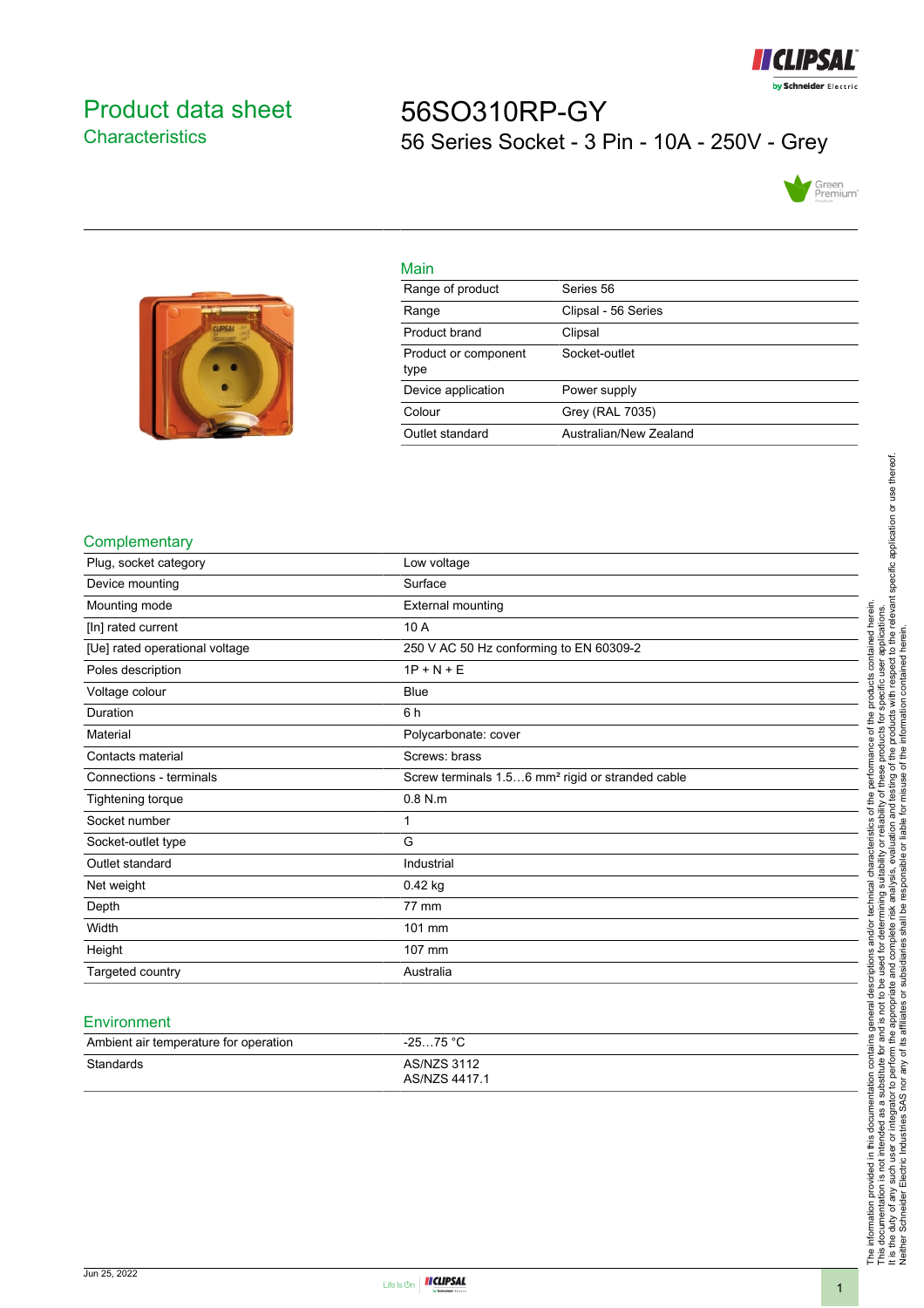

## <span id="page-0-0"></span>Product data sheet **Characteristics**

# 56SO310RP-GY 56 Series Socket - 3 Pin - 10A - 250V - Grey





| Main                         |                        |
|------------------------------|------------------------|
| Range of product             | Series 56              |
| Range                        | Clipsal - 56 Series    |
| Product brand                | Clipsal                |
| Product or component<br>type | Socket-outlet          |
| Device application           | Power supply           |
| Colour                       | Grey (RAL 7035)        |
| Outlet standard              | Australian/New Zealand |

#### **Complementary**

| Plug, socket category          | Low voltage                                                  |
|--------------------------------|--------------------------------------------------------------|
| Device mounting                | Surface                                                      |
| Mounting mode                  | <b>External mounting</b>                                     |
| [In] rated current             | 10 A                                                         |
| [Ue] rated operational voltage | 250 V AC 50 Hz conforming to EN 60309-2                      |
| Poles description              | $1P + N + E$                                                 |
| Voltage colour                 | <b>Blue</b>                                                  |
| Duration                       | 6 h                                                          |
| Material                       | Polycarbonate: cover                                         |
| Contacts material              | Screws: brass                                                |
| Connections - terminals        | Screw terminals 1.56 mm <sup>2</sup> rigid or stranded cable |
| Tightening torque              | $0.8$ N.m                                                    |
| Socket number                  | 1                                                            |
| Socket-outlet type             | G                                                            |
| Outlet standard                | Industrial                                                   |
| Net weight                     | 0.42 kg                                                      |
| Depth                          | 77 mm                                                        |
| Width                          | 101 mm                                                       |
| Height                         | 107 mm                                                       |
| Targeted country               | Australia                                                    |

#### Environment

| Ambient air temperature for operation | $-2575 °C$                          |
|---------------------------------------|-------------------------------------|
| Standards                             | <b>AS/NZS 3112</b><br>AS/NZS 4417.1 |